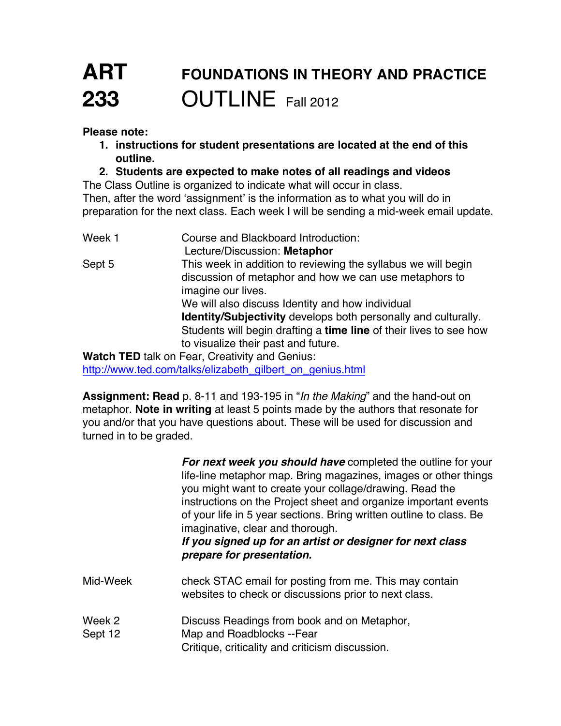## **ART FOUNDATIONS IN THEORY AND PRACTICE 233** OUTLINE Fall 2012

**Please note:**

- **1. instructions for student presentations are located at the end of this outline.**
- **2. Students are expected to make notes of all readings and videos**

The Class Outline is organized to indicate what will occur in class. Then, after the word 'assignment' is the information as to what you will do in preparation for the next class. Each week I will be sending a mid-week email update.

Week 1 Course and Blackboard Introduction: Lecture/Discussion: **Metaphor** Sept 5 This week in addition to reviewing the syllabus we will begin discussion of metaphor and how we can use metaphors to imagine our lives. We will also discuss Identity and how individual **Identity/Subjectivity** develops both personally and culturally. Students will begin drafting a **time line** of their lives to see how to visualize their past and future. **Watch TED** talk on Fear, Creativity and Genius:

http://www.ted.com/talks/elizabeth\_gilbert\_on\_genius.html

**Assignment: Read** p. 8-11 and 193-195 in "*In the Making*" and the hand-out on metaphor. **Note in writing** at least 5 points made by the authors that resonate for you and/or that you have questions about. These will be used for discussion and turned in to be graded.

> *For next week you should have* completed the outline for your life-line metaphor map. Bring magazines, images or other things you might want to create your collage/drawing. Read the instructions on the Project sheet and organize important events of your life in 5 year sections. Bring written outline to class. Be imaginative, clear and thorough.

*If you signed up for an artist or designer for next class prepare for presentation.*

- Mid-Week check STAC email for posting from me. This may contain websites to check or discussions prior to next class.
- Week 2 **Discuss Readings from book and on Metaphor,** Sept 12 Map and Roadblocks --Fear
	- Critique, criticality and criticism discussion.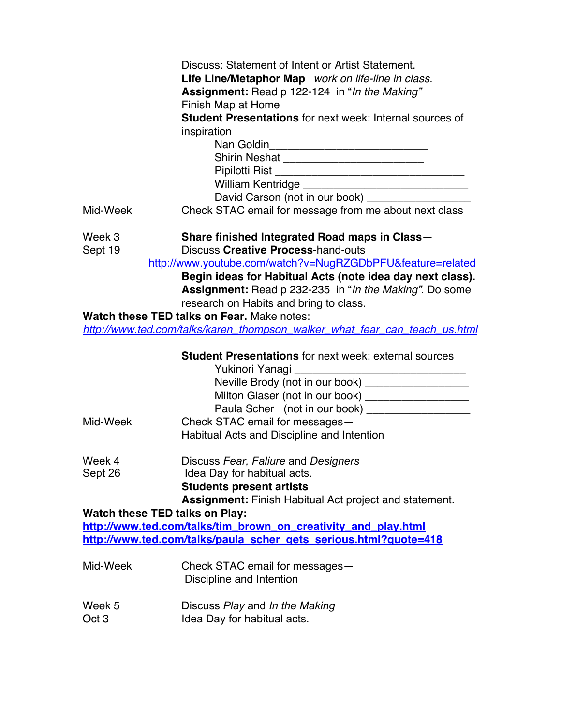|                                       | Discuss: Statement of Intent or Artist Statement.                          |
|---------------------------------------|----------------------------------------------------------------------------|
|                                       | Life Line/Metaphor Map work on life-line in class.                         |
|                                       | Assignment: Read p 122-124 in "In the Making"                              |
|                                       | Finish Map at Home                                                         |
|                                       | <b>Student Presentations for next week: Internal sources of</b>            |
|                                       | inspiration                                                                |
|                                       |                                                                            |
|                                       |                                                                            |
|                                       |                                                                            |
|                                       |                                                                            |
|                                       | David Carson (not in our book) ________________                            |
| Mid-Week                              | Check STAC email for message from me about next class                      |
| Week 3                                | Share finished Integrated Road maps in Class-                              |
| Sept 19                               | <b>Discuss Creative Process-hand-outs</b>                                  |
|                                       | http://www.youtube.com/watch?v=NugRZGDbPFU&feature=related                 |
|                                       | Begin ideas for Habitual Acts (note idea day next class).                  |
|                                       | <b>Assignment:</b> Read p 232-235 in "In the Making". Do some              |
|                                       | research on Habits and bring to class.                                     |
|                                       | Watch these TED talks on Fear. Make notes:                                 |
|                                       | http://www.ted.com/talks/karen_thompson_walker_what_fear_can_teach_us.html |
|                                       | <b>Student Presentations for next week: external sources</b>               |
|                                       | Yukinori Yanagi                                                            |
|                                       | Neville Brody (not in our book) ____________________                       |
|                                       | Milton Glaser (not in our book) ___________________                        |
|                                       | Paula Scher (not in our book) _________________                            |
| Mid-Week                              | Check STAC email for messages-                                             |
|                                       | Habitual Acts and Discipline and Intention                                 |
| Week 4                                | Discuss Fear, Faliure and Designers                                        |
| Sept 26                               | Idea Day for habitual acts.                                                |
|                                       |                                                                            |
|                                       |                                                                            |
|                                       | <b>Students present artists</b>                                            |
| <b>Watch these TED talks on Play:</b> | <b>Assignment:</b> Finish Habitual Act project and statement.              |
|                                       | http://www.ted.com/talks/tim_brown_on_creativity_and_play.html             |
|                                       | http://www.ted.com/talks/paula_scher_gets_serious.html?quote=418           |
| Mid-Week                              |                                                                            |
|                                       | Check STAC email for messages-<br>Discipline and Intention                 |
|                                       |                                                                            |
| Week 5<br>Oct <sub>3</sub>            | Discuss Play and In the Making<br>Idea Day for habitual acts.              |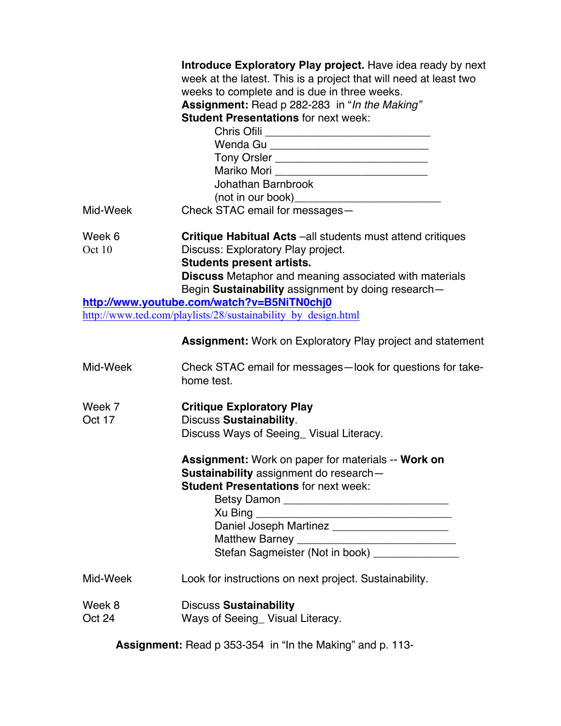|                                                                                                             | Introduce Exploratory Play project. Have idea ready by next<br>week at the latest. This is a project that will need at least two<br>weeks to complete and is due in three weeks.<br>Assignment: Read p 282-283 in "In the Making"<br><b>Student Presentations for next week:</b><br>Tony Orsler _____________________________<br>Mariko Mori _______________________________<br>Johathan Barnbrook |  |
|-------------------------------------------------------------------------------------------------------------|----------------------------------------------------------------------------------------------------------------------------------------------------------------------------------------------------------------------------------------------------------------------------------------------------------------------------------------------------------------------------------------------------|--|
| Mid-Week                                                                                                    | Check STAC email for messages-                                                                                                                                                                                                                                                                                                                                                                     |  |
| Week 6<br>Oct 10                                                                                            | Critique Habitual Acts -all students must attend critiques<br>Discuss: Exploratory Play project.<br><b>Students present artists.</b><br><b>Discuss</b> Metaphor and meaning associated with materials<br>Begin Sustainability assignment by doing research-                                                                                                                                        |  |
| http://www.youtube.com/watch?v=B5NiTN0chj0<br>http://www.ted.com/playlists/28/sustainability_by_design.html |                                                                                                                                                                                                                                                                                                                                                                                                    |  |
|                                                                                                             | <b>Assignment:</b> Work on Exploratory Play project and statement                                                                                                                                                                                                                                                                                                                                  |  |
| Mid-Week                                                                                                    | Check STAC email for messages-look for questions for take-<br>home test.                                                                                                                                                                                                                                                                                                                           |  |
| Week 7<br>Oct 17                                                                                            | <b>Critique Exploratory Play</b><br><b>Discuss Sustainability.</b><br>Discuss Ways of Seeing_ Visual Literacy.                                                                                                                                                                                                                                                                                     |  |
|                                                                                                             | Assignment: Work on paper for materials -- Work on<br>Sustainability assignment do research-<br><b>Student Presentations for next week:</b><br>Daniel Joseph Martinez _______________________<br>Matthew Barney _______________________________<br>Stefan Sagmeister (Not in book) ______________                                                                                                  |  |
| Mid-Week                                                                                                    | Look for instructions on next project. Sustainability.                                                                                                                                                                                                                                                                                                                                             |  |
| Week 8<br>Oct 24                                                                                            | <b>Discuss Sustainability</b><br>Ways of Seeing_ Visual Literacy.                                                                                                                                                                                                                                                                                                                                  |  |

**Assignment:** Read p 353-354 in "In the Making" and p. 113-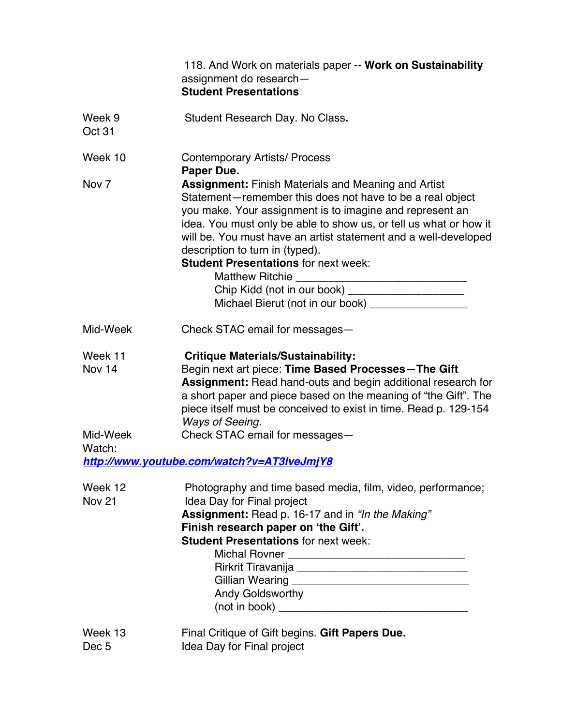|                             | 118. And Work on materials paper -- Work on Sustainability<br>assignment do research-<br><b>Student Presentations</b>                                                                                                                                                                                                                                                                                                                                                |
|-----------------------------|----------------------------------------------------------------------------------------------------------------------------------------------------------------------------------------------------------------------------------------------------------------------------------------------------------------------------------------------------------------------------------------------------------------------------------------------------------------------|
| Week 9<br>Oct 31            | Student Research Day. No Class.                                                                                                                                                                                                                                                                                                                                                                                                                                      |
| Week 10                     | <b>Contemporary Artists/ Process</b><br>Paper Due.                                                                                                                                                                                                                                                                                                                                                                                                                   |
| Nov <sub>7</sub>            | <b>Assignment: Finish Materials and Meaning and Artist</b><br>Statement-remember this does not have to be a real object<br>you make. Your assignment is to imagine and represent an<br>idea. You must only be able to show us, or tell us what or how it<br>will be. You must have an artist statement and a well-developed<br>description to turn in (typed).<br><b>Student Presentations for next week:</b><br>Michael Bierut (not in our book) __________________ |
| Mid-Week                    | Check STAC email for messages-                                                                                                                                                                                                                                                                                                                                                                                                                                       |
| Week 11<br>Nov 14           | <b>Critique Materials/Sustainability:</b><br>Begin next art piece: Time Based Processes-The Gift<br><b>Assignment:</b> Read hand-outs and begin additional research for<br>a short paper and piece based on the meaning of "the Gift". The<br>piece itself must be conceived to exist in time. Read p. 129-154<br>Ways of Seeing.                                                                                                                                    |
| Mid-Week<br>Watch:          | Check STAC email for messages-<br>http://www.youtube.com/watch?v=AT3IveJmjY8                                                                                                                                                                                                                                                                                                                                                                                         |
| Week 12<br><b>Nov 21</b>    | Photography and time based media, film, video, performance;<br>Idea Day for Final project<br>Assignment: Read p. 16-17 and in "In the Making"<br>Finish research paper on 'the Gift'.<br><b>Student Presentations for next week:</b><br>Andy Goldsworthy                                                                                                                                                                                                             |
| Week 13<br>Dec <sub>5</sub> | Final Critique of Gift begins. Gift Papers Due.<br>Idea Day for Final project                                                                                                                                                                                                                                                                                                                                                                                        |